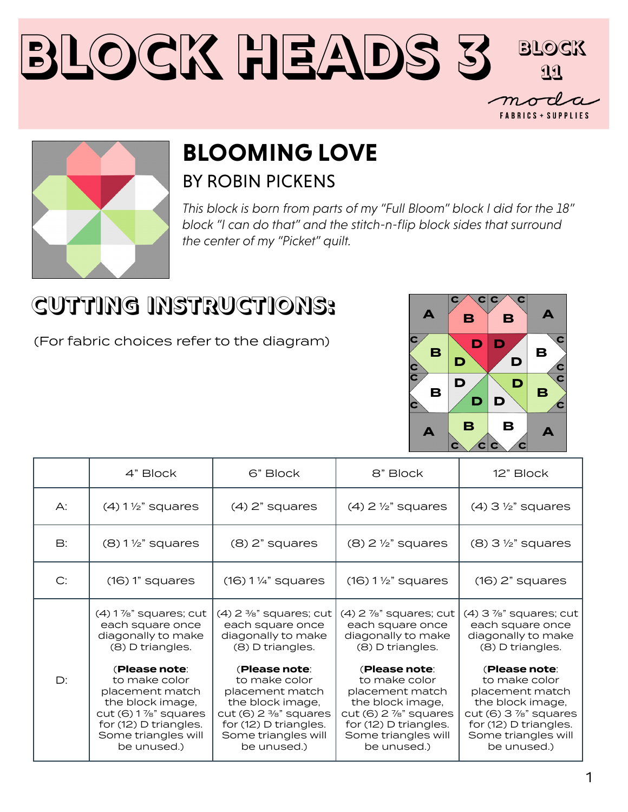



## **BLOOMING LOVE** BY ROBIN PICKENS

*This block is born from parts of my "Full Bloom" block I did for the 18" block "I can do that" and the stitch-n-flip block sides that surround the center of my "Picket" quilt.* 

## **CUTTING INSTRUCTIONS:**

(For fabric choices refer to the diagram)



|               | 4" Block                                                                                                                                                      | 6" Block                                                                                                                                                                 | 8" Block                                                                                                                                                                   | 12" Block                                                                                                                                                                  |
|---------------|---------------------------------------------------------------------------------------------------------------------------------------------------------------|--------------------------------------------------------------------------------------------------------------------------------------------------------------------------|----------------------------------------------------------------------------------------------------------------------------------------------------------------------------|----------------------------------------------------------------------------------------------------------------------------------------------------------------------------|
| $\bigwedge$ : | $(4)$ 1 $\frac{1}{2}$ " squares                                                                                                                               | $(4)$ 2" squares                                                                                                                                                         | $(4)$ 2 $\frac{1}{2}$ " squares                                                                                                                                            | $(4)$ 3 $\frac{1}{2}$ " squares                                                                                                                                            |
| B:            | $(8)$ 1 $\frac{1}{2}$ " squares                                                                                                                               | $(8)$ 2" squares                                                                                                                                                         | $(8)$ 2 $\frac{1}{2}$ " squares                                                                                                                                            | $(8)$ 3 $\frac{1}{2}$ " squares                                                                                                                                            |
| C:            | $(16)$ 1" squares                                                                                                                                             | $(16) 1\frac{1}{4}$ squares                                                                                                                                              | $(16)$ 1 $\frac{1}{2}$ " squares                                                                                                                                           | $(16)$ 2" squares                                                                                                                                                          |
| $D$ :         | $(4)$ 1 $\%$ " squares; cut<br>each square once<br>diagonally to make<br>(8) D triangles.                                                                     | $(4)$ 2 $\frac{3}{8}$ " squares; cut<br>each square once<br>diagonally to make<br>(8) D triangles.                                                                       | $(4)$ 2 $\frac{7}{8}$ " squares; cut<br>each square once<br>diagonally to make<br>(8) D triangles.                                                                         | $(4)$ 3 $\frac{7}{8}$ " squares; cut<br>each square once<br>diagonally to make<br>(8) D triangles.                                                                         |
|               | (Please note:<br>to make color<br>placement match<br>the block image,<br>$cut(6)$ 1 %" squares<br>for (12) D triangles.<br>Some triangles will<br>be unused.) | (Please note:<br>to make color<br>placement match<br>the block image,<br>cut (6) $2\frac{3}{8}$ " squares<br>for (12) D triangles.<br>Some triangles will<br>be unused.) | (Please note:<br>to make color<br>placement match<br>the block image,<br>$cut(6)$ 2 $\frac{7}{8}$ " squares<br>for (12) D triangles.<br>Some triangles will<br>be unused.) | (Please note:<br>to make color<br>placement match<br>the block image,<br>$cut(6)$ 3 $\frac{7}{8}$ " squares<br>for (12) D triangles.<br>Some triangles will<br>be unused.) |